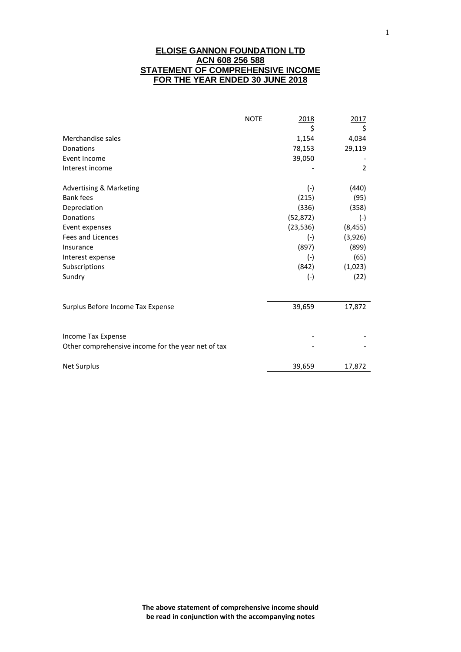## **ELOISE GANNON FOUNDATION LTD ACN 608 256 588 STATEMENT OF COMPREHENSIVE INCOME FOR THE YEAR ENDED 30 JUNE 2018**

|                                                    | <b>NOTE</b> | 2018<br>\$ | 2017<br>\$     |
|----------------------------------------------------|-------------|------------|----------------|
| Merchandise sales                                  |             | 1,154      | 4,034          |
| Donations                                          |             | 78,153     | 29,119         |
| Event Income                                       |             | 39,050     |                |
| Interest income                                    |             |            | $\overline{2}$ |
| Advertising & Marketing                            |             | $(-)$      | (440)          |
| <b>Bank fees</b>                                   |             | (215)      | (95)           |
| Depreciation                                       |             | (336)      | (358)          |
| Donations                                          |             | (52, 872)  | $(-)$          |
| Event expenses                                     |             | (23, 536)  | (8, 455)       |
| <b>Fees and Licences</b>                           |             | $(-)$      | (3,926)        |
| Insurance                                          |             | (897)      | (899)          |
| Interest expense                                   |             | $(-)$      | (65)           |
| Subscriptions                                      |             | (842)      | (1,023)        |
| Sundry                                             |             | $(-)$      | (22)           |
|                                                    |             |            |                |
| Surplus Before Income Tax Expense                  |             | 39,659     | 17,872         |
| Income Tax Expense                                 |             |            |                |
| Other comprehensive income for the year net of tax |             |            |                |
| <b>Net Surplus</b>                                 |             | 39,659     | 17,872         |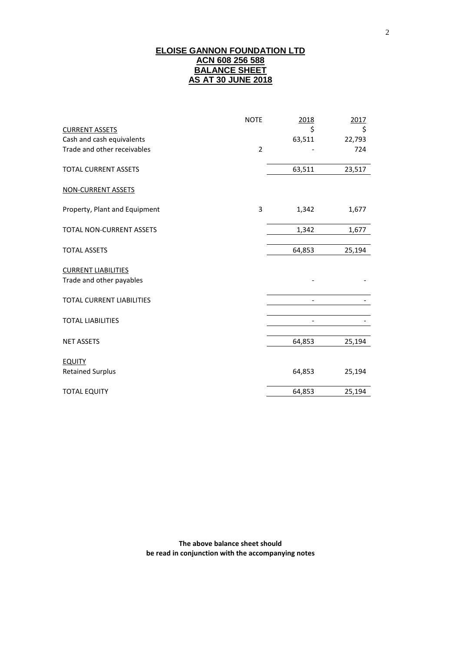# **ELOISE GANNON FOUNDATION LTD ACN 608 256 588 BALANCE SHEET AS AT 30 JUNE 2018**

|                               | <b>NOTE</b>    | 2018   | 2017   |
|-------------------------------|----------------|--------|--------|
| <b>CURRENT ASSETS</b>         |                | \$     | \$     |
| Cash and cash equivalents     |                | 63,511 | 22,793 |
| Trade and other receivables   | $\overline{2}$ |        | 724    |
| <b>TOTAL CURRENT ASSETS</b>   |                | 63,511 | 23,517 |
| <b>NON-CURRENT ASSETS</b>     |                |        |        |
| Property, Plant and Equipment | 3              | 1,342  | 1,677  |
| TOTAL NON-CURRENT ASSETS      |                | 1,342  | 1,677  |
| <b>TOTAL ASSETS</b>           |                | 64,853 | 25,194 |
| <b>CURRENT LIABILITIES</b>    |                |        |        |
| Trade and other payables      |                |        |        |
| TOTAL CURRENT LIABILITIES     |                |        |        |
| <b>TOTAL LIABILITIES</b>      |                |        |        |
| <b>NET ASSETS</b>             |                | 64,853 | 25,194 |
| <b>EQUITY</b>                 |                |        |        |
| <b>Retained Surplus</b>       |                | 64,853 | 25,194 |
| <b>TOTAL EQUITY</b>           |                | 64,853 | 25,194 |

**The above balance sheet should be read in conjunction with the accompanying notes**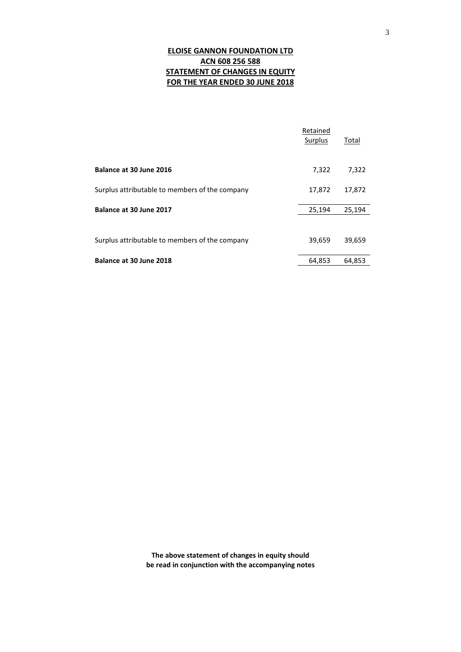# **ELOISE GANNON FOUNDATION LTD ACN 608 256 588 STATEMENT OF CHANGES IN EQUITY FOR THE YEAR ENDED 30 JUNE 2018**

|                                                | Retained<br>Surplus | Total  |
|------------------------------------------------|---------------------|--------|
| Balance at 30 June 2016                        | 7,322               | 7,322  |
| Surplus attributable to members of the company | 17,872              | 17,872 |
| Balance at 30 June 2017                        | 25,194              | 25,194 |
| Surplus attributable to members of the company | 39,659              | 39,659 |
| Balance at 30 June 2018                        | 64,853              | 64,853 |

**The above statement of changes in equity should be read in conjunction with the accompanying notes**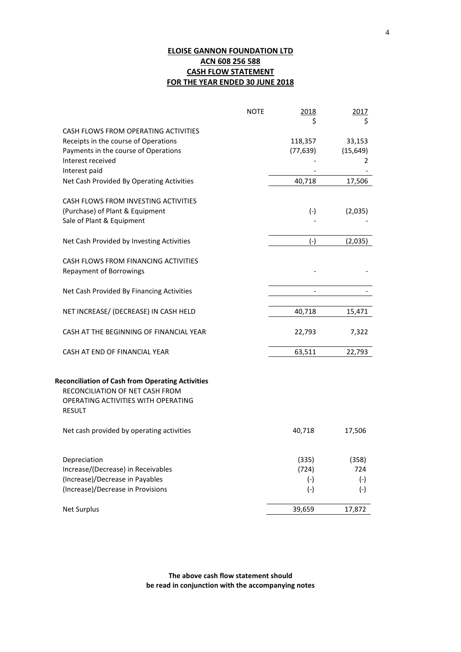# **ELOISE GANNON FOUNDATION LTD ACN 608 256 588 CASH FLOW STATEMENT FOR THE YEAR ENDED 30 JUNE 2018**

|                                                         | <b>NOTE</b> | 2018         | 2017      |
|---------------------------------------------------------|-------------|--------------|-----------|
| CASH FLOWS FROM OPERATING ACTIVITIES                    |             | \$           | \$        |
| Receipts in the course of Operations                    |             | 118,357      | 33,153    |
| Payments in the course of Operations                    |             | (77, 639)    | (15, 649) |
| Interest received                                       |             |              | 2         |
| Interest paid                                           |             |              |           |
| Net Cash Provided By Operating Activities               |             | 40,718       | 17,506    |
| CASH FLOWS FROM INVESTING ACTIVITIES                    |             |              |           |
| (Purchase) of Plant & Equipment                         |             | $(-)$        | (2,035)   |
| Sale of Plant & Equipment                               |             |              |           |
|                                                         |             |              |           |
| Net Cash Provided by Investing Activities               |             | $(-)$        | (2,035)   |
|                                                         |             |              |           |
| CASH FLOWS FROM FINANCING ACTIVITIES                    |             |              |           |
| <b>Repayment of Borrowings</b>                          |             |              |           |
| Net Cash Provided By Financing Activities               |             |              |           |
|                                                         |             |              |           |
| NET INCREASE/ (DECREASE) IN CASH HELD                   |             | 40,718       | 15,471    |
| CASH AT THE BEGINNING OF FINANCIAL YEAR                 |             | 22,793       | 7,322     |
|                                                         |             |              |           |
| CASH AT END OF FINANCIAL YEAR                           |             | 63,511       | 22,793    |
|                                                         |             |              |           |
| <b>Reconciliation of Cash from Operating Activities</b> |             |              |           |
| RECONCILIATION OF NET CASH FROM                         |             |              |           |
| OPERATING ACTIVITIES WITH OPERATING                     |             |              |           |
| <b>RESULT</b>                                           |             |              |           |
| Net cash provided by operating activities               |             | 40,718       | 17,506    |
|                                                         |             |              |           |
| Depreciation                                            |             | (335)        | (358)     |
| Increase/(Decrease) in Receivables                      |             | (724)        | 724       |
| (Increase)/Decrease in Payables                         |             | $(-)$        | $(-)$     |
| (Increase)/Decrease in Provisions                       |             | $(\text{-})$ | $(-)$     |
|                                                         |             |              |           |
| <b>Net Surplus</b>                                      |             | 39,659       | 17,872    |

**The above cash flow statement should be read in conjunction with the accompanying notes**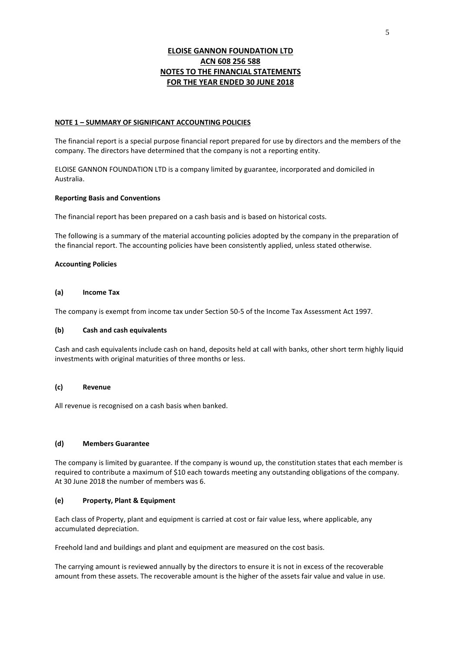### **ELOISE GANNON FOUNDATION LTD ACN 608 256 588 NOTES TO THE FINANCIAL STATEMENTS FOR THE YEAR ENDED 30 JUNE 2018**

#### **NOTE 1 – SUMMARY OF SIGNIFICANT ACCOUNTING POLICIES**

The financial report is a special purpose financial report prepared for use by directors and the members of the company. The directors have determined that the company is not a reporting entity.

ELOISE GANNON FOUNDATION LTD is a company limited by guarantee, incorporated and domiciled in Australia.

#### **Reporting Basis and Conventions**

The financial report has been prepared on a cash basis and is based on historical costs.

The following is a summary of the material accounting policies adopted by the company in the preparation of the financial report. The accounting policies have been consistently applied, unless stated otherwise.

#### **Accounting Policies**

#### **(a) Income Tax**

The company is exempt from income tax under Section 50-5 of the Income Tax Assessment Act 1997.

#### **(b) Cash and cash equivalents**

Cash and cash equivalents include cash on hand, deposits held at call with banks, other short term highly liquid investments with original maturities of three months or less.

### **(c) Revenue**

All revenue is recognised on a cash basis when banked.

#### **(d) Members Guarantee**

The company is limited by guarantee. If the company is wound up, the constitution states that each member is required to contribute a maximum of \$10 each towards meeting any outstanding obligations of the company. At 30 June 2018 the number of members was 6.

#### **(e) Property, Plant & Equipment**

Each class of Property, plant and equipment is carried at cost or fair value less, where applicable, any accumulated depreciation.

Freehold land and buildings and plant and equipment are measured on the cost basis.

The carrying amount is reviewed annually by the directors to ensure it is not in excess of the recoverable amount from these assets. The recoverable amount is the higher of the assets fair value and value in use.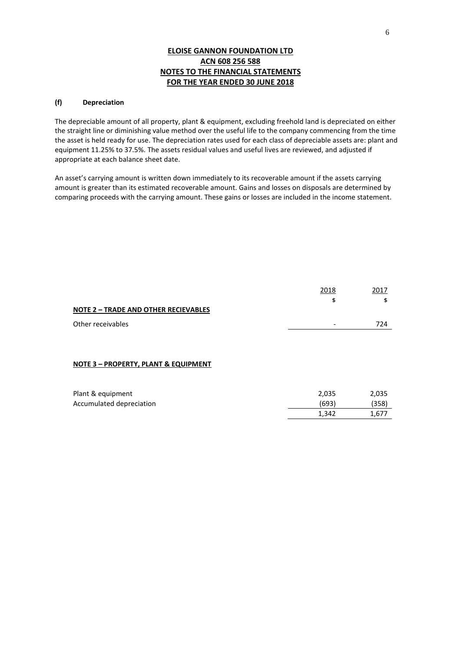## **ELOISE GANNON FOUNDATION LTD ACN 608 256 588 NOTES TO THE FINANCIAL STATEMENTS FOR THE YEAR ENDED 30 JUNE 2018**

### **(f) Depreciation**

The depreciable amount of all property, plant & equipment, excluding freehold land is depreciated on either the straight line or diminishing value method over the useful life to the company commencing from the time the asset is held ready for use. The depreciation rates used for each class of depreciable assets are: plant and equipment 11.25% to 37.5%. The assets residual values and useful lives are reviewed, and adjusted if appropriate at each balance sheet date.

An asset's carrying amount is written down immediately to its recoverable amount if the assets carrying amount is greater than its estimated recoverable amount. Gains and losses on disposals are determined by comparing proceeds with the carrying amount. These gains or losses are included in the income statement.

|                                                 | 2018                     | 2017  |
|-------------------------------------------------|--------------------------|-------|
|                                                 | \$                       | \$    |
| <b>NOTE 2 - TRADE AND OTHER RECIEVABLES</b>     |                          |       |
| Other receivables                               | $\overline{\phantom{a}}$ | 724   |
|                                                 |                          |       |
|                                                 |                          |       |
| <b>NOTE 3 - PROPERTY, PLANT &amp; EQUIPMENT</b> |                          |       |
|                                                 |                          |       |
| Plant & equipment                               | 2,035                    | 2,035 |
|                                                 |                          |       |
| Accumulated depreciation                        | (693)                    | (358) |
|                                                 | 1,342                    | 1,677 |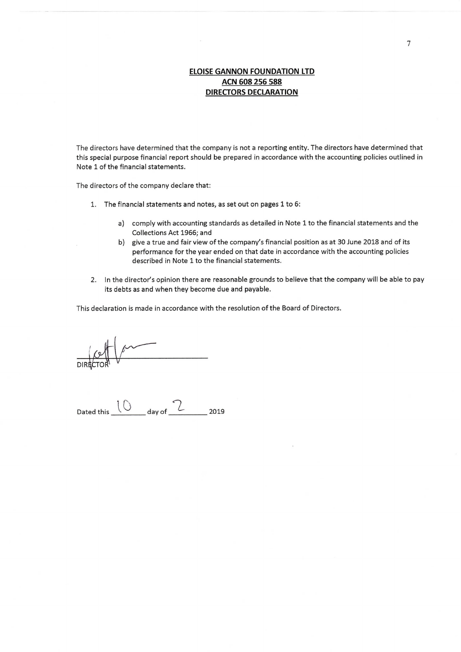# **ELOISE GANNON FOUNDATION LTD** ACN 608 256 588 **DIRECTORS DECLARATION**

The directors have determined that the company is not a reporting entity. The directors have determined that this special purpose financial report should be prepared in accordance with the accounting policies outlined in Note 1 of the financial statements.

The directors of the company declare that:

- 1. The financial statements and notes, as set out on pages 1 to 6:
	- a) comply with accounting standards as detailed in Note 1 to the financial statements and the Collections Act 1966; and
	- b) give a true and fair view of the company's financial position as at 30 June 2018 and of its performance for the year ended on that date in accordance with the accounting policies described in Note 1 to the financial statements.
- 2. In the director's opinion there are reasonable grounds to believe that the company will be able to pay its debts as and when they become due and payable.

This declaration is made in accordance with the resolution of the Board of Directors.

Dated this  $\frac{10}{2}$  day of  $\frac{2}{2}$  2019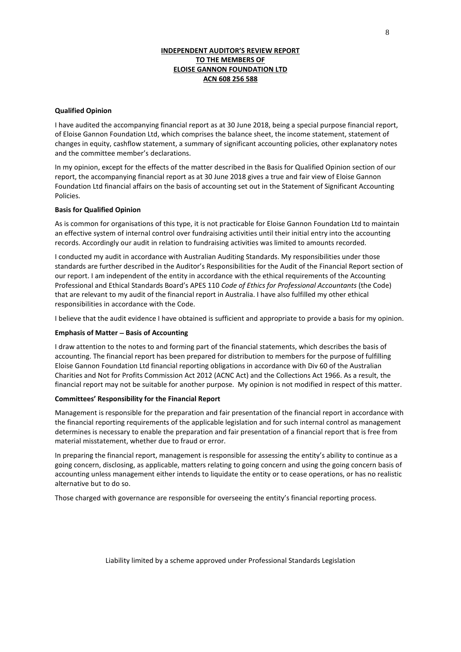### **INDEPENDENT AUDITOR'S REVIEW REPORT TO THE MEMBERS OF ELOISE GANNON FOUNDATION LTD ACN 608 256 588**

#### **Qualified Opinion**

I have audited the accompanying financial report as at 30 June 2018, being a special purpose financial report, of Eloise Gannon Foundation Ltd, which comprises the balance sheet, the income statement, statement of changes in equity, cashflow statement, a summary of significant accounting policies, other explanatory notes and the committee member's declarations.

In my opinion, except for the effects of the matter described in the Basis for Qualified Opinion section of our report, the accompanying financial report as at 30 June 2018 gives a true and fair view of Eloise Gannon Foundation Ltd financial affairs on the basis of accounting set out in the Statement of Significant Accounting Policies.

### **Basis for Qualified Opinion**

As is common for organisations of this type, it is not practicable for Eloise Gannon Foundation Ltd to maintain an effective system of internal control over fundraising activities until their initial entry into the accounting records. Accordingly our audit in relation to fundraising activities was limited to amounts recorded.

I conducted my audit in accordance with Australian Auditing Standards. My responsibilities under those standards are further described in the Auditor's Responsibilities for the Audit of the Financial Report section of our report. I am independent of the entity in accordance with the ethical requirements of the Accounting Professional and Ethical Standards Board's APES 110 *Code of Ethics for Professional Accountants* (the Code) that are relevant to my audit of the financial report in Australia. I have also fulfilled my other ethical responsibilities in accordance with the Code.

I believe that the audit evidence I have obtained is sufficient and appropriate to provide a basis for my opinion.

### **Emphasis of Matter** − **Basis of Accounting**

I draw attention to the notes to and forming part of the financial statements, which describes the basis of accounting. The financial report has been prepared for distribution to members for the purpose of fulfilling Eloise Gannon Foundation Ltd financial reporting obligations in accordance with Div 60 of the Australian Charities and Not for Profits Commission Act 2012 (ACNC Act) and the Collections Act 1966. As a result, the financial report may not be suitable for another purpose. My opinion is not modified in respect of this matter.

### **Committees' Responsibility for the Financial Report**

Management is responsible for the preparation and fair presentation of the financial report in accordance with the financial reporting requirements of the applicable legislation and for such internal control as management determines is necessary to enable the preparation and fair presentation of a financial report that is free from material misstatement, whether due to fraud or error.

In preparing the financial report, management is responsible for assessing the entity's ability to continue as a going concern, disclosing, as applicable, matters relating to going concern and using the going concern basis of accounting unless management either intends to liquidate the entity or to cease operations, or has no realistic alternative but to do so.

Those charged with governance are responsible for overseeing the entity's financial reporting process.